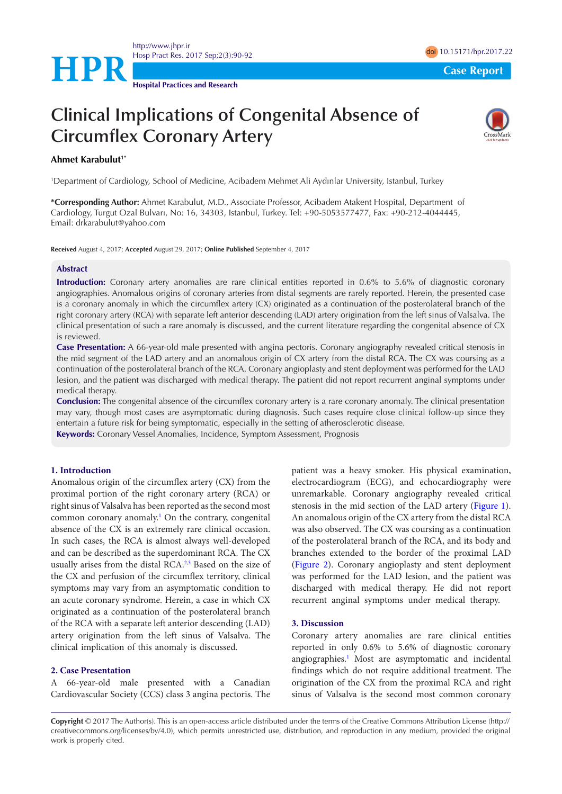

**Hospital Practices and Research**

# **Clinical Implications of Congenital Absence of Circumflex Coronary Artery**



## **Ahmet Karabulut1\***

1 Department of Cardiology, School of Medicine, Acibadem Mehmet Ali Aydınlar University, Istanbul, Turkey

**\*Corresponding Author:** Ahmet Karabulut, M.D., Associate Professor, Acibadem Atakent Hospital, Department of Cardiology, Turgut Ozal Bulvarı, No: 16, 34303, Istanbul, Turkey. Tel: +90-5053577477, Fax: +90-212-4044445, Email: drkarabulut@yahoo.com

**Received** August 4, 2017; **Accepted** August 29, 2017; **Online Published** September 4, 2017

#### **Abstract**

**Introduction:** Coronary artery anomalies are rare clinical entities reported in 0.6% to 5.6% of diagnostic coronary angiographies. Anomalous origins of coronary arteries from distal segments are rarely reported. Herein, the presented case is a coronary anomaly in which the circumflex artery (CX) originated as a continuation of the posterolateral branch of the right coronary artery (RCA) with separate left anterior descending (LAD) artery origination from the left sinus of Valsalva. The clinical presentation of such a rare anomaly is discussed, and the current literature regarding the congenital absence of CX is reviewed.

**Case Presentation:** A 66-year-old male presented with angina pectoris. Coronary angiography revealed critical stenosis in the mid segment of the LAD artery and an anomalous origin of CX artery from the distal RCA. The CX was coursing as a continuation of the posterolateral branch of the RCA. Coronary angioplasty and stent deployment was performed for the LAD lesion, and the patient was discharged with medical therapy. The patient did not report recurrent anginal symptoms under medical therapy.

**Conclusion:** The congenital absence of the circumflex coronary artery is a rare coronary anomaly. The clinical presentation may vary, though most cases are asymptomatic during diagnosis. Such cases require close clinical follow-up since they entertain a future risk for being symptomatic, especially in the setting of atherosclerotic disease.

**Keywords:** Coronary Vessel Anomalies, Incidence, Symptom Assessment, Prognosis

### **1. Introduction**

Anomalous origin of the circumflex artery (CX) from the proximal portion of the right coronary artery (RCA) or right sinus of Valsalva has been reported as the second most common coronary anomaly.<sup>1</sup> On the contrary, congenital absence of the CX is an extremely rare clinical occasion. In such cases, the RCA is almost always well-developed and can be described as the superdominant RCA. The CX usually arises from the distal RCA.<sup>2[,3](#page-1-2)</sup> Based on the size of the CX and perfusion of the circumflex territory, clinical symptoms may vary from an asymptomatic condition to an acute coronary syndrome. Herein, a case in which CX originated as a continuation of the posterolateral branch of the RCA with a separate left anterior descending (LAD) artery origination from the left sinus of Valsalva. The clinical implication of this anomaly is discussed.

## **2. Case Presentation**

A 66-year-old male presented with a Canadian Cardiovascular Society (CCS) class 3 angina pectoris. The

patient was a heavy smoker. His physical examination, electrocardiogram (ECG), and echocardiography were unremarkable. Coronary angiography revealed critical stenosis in the mid section of the LAD artery ([Figure 1\)](#page-1-3). An anomalous origin of the CX artery from the distal RCA was also observed. The CX was coursing as a continuation of the posterolateral branch of the RCA, and its body and branches extended to the border of the proximal LAD [\(Figure 2](#page-1-4)). Coronary angioplasty and stent deployment was performed for the LAD lesion, and the patient was discharged with medical therapy. He did not report recurrent anginal symptoms under medical therapy.

# **3. Discussion**

Coronary artery anomalies are rare clinical entities reported in only 0.6% to 5.6% of diagnostic coronary angiographies.<sup>1</sup> Most are asymptomatic and incidental findings which do not require additional treatment. The origination of the CX from the proximal RCA and right sinus of Valsalva is the second most common coronary

**Copyright** © 2017 The Author(s). This is an open-access article distributed under the terms of the Creative Commons Attribution License (http:// creativecommons.org/licenses/by/4.0), which permits unrestricted use, distribution, and reproduction in any medium, provided the original work is properly cited.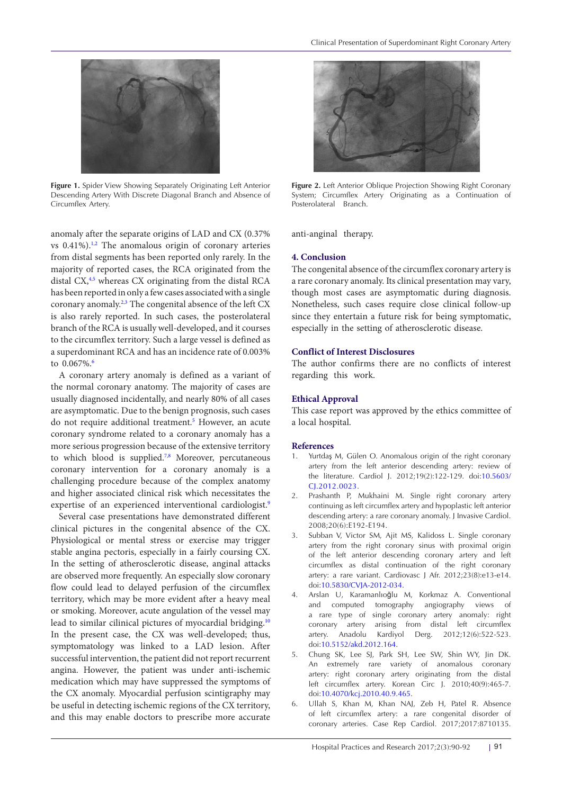<span id="page-1-3"></span>

**Figure 1.** Spider View Showing Separately Originating Left Anterior Descending Artery With Discrete Diagonal Branch and Absence of Circumflex Artery.

anomaly after the separate origins of LAD and CX (0.37% vs  $0.41\%$ ).<sup>1,[2](#page-1-1)</sup> The anomalous origin of coronary arteries from distal segments has been reported only rarely. In the majority of reported cases, the RCA originated from the distal CX,<sup>4[,5](#page-1-6)</sup> whereas CX originating from the distal RCA has been reported in only a few cases associated with a single coronary anomaly.<sup>2[,3](#page-1-2)</sup> The congenital absence of the left CX is also rarely reported. In such cases, the posterolateral branch of the RCA is usually well-developed, and it courses to the circumflex territory. Such a large vessel is defined as a superdominant RCA and has an incidence rate of 0.003% to  $0.067\%$ .

A coronary artery anomaly is defined as a variant of the normal coronary anatomy. The majority of cases are usually diagnosed incidentally, and nearly 80% of all cases are asymptomatic. Due to the benign prognosis, such cases do not require additional treatment.<sup>[5](#page-1-6)</sup> However, an acute coronary syndrome related to a coronary anomaly has a more serious progression because of the extensive territory to which blood is supplied.<sup>7,[8](#page-2-1)</sup> Moreover, percutaneous coronary intervention for a coronary anomaly is a challenging procedure because of the complex anatomy and higher associated clinical risk which necessitates the expertise of an experienced interventional cardiologist.<sup>[9](#page-2-2)</sup>

Several case presentations have demonstrated different clinical pictures in the congenital absence of the CX. Physiological or mental stress or exercise may trigger stable angina pectoris, especially in a fairly coursing CX. In the setting of atherosclerotic disease, anginal attacks are observed more frequently. An especially slow coronary flow could lead to delayed perfusion of the circumflex territory, which may be more evident after a heavy meal or smoking. Moreover, acute angulation of the vessel may lead to similar cilinical pictures of myocardial bridging.<sup>[10](#page-2-3)</sup> In the present case, the CX was well-developed; thus, symptomatology was linked to a LAD lesion. After successful intervention, the patient did not report recurrent angina. However, the patient was under anti-ischemic medication which may have suppressed the symptoms of the CX anomaly. Myocardial perfusion scintigraphy may be useful in detecting ischemic regions of the CX territory, and this may enable doctors to prescribe more accurate

<span id="page-1-4"></span>

**Figure 2.** Left Anterior Oblique Projection Showing Right Coronary System; Circumflex Artery Originating as a Continuation of Posterolateral Branch.

anti-anginal therapy.

## **4. Conclusion**

The congenital absence of the circumflex coronary artery is a rare coronary anomaly. Its clinical presentation may vary, though most cases are asymptomatic during diagnosis. Nonetheless, such cases require close clinical follow-up since they entertain a future risk for being symptomatic, especially in the setting of atherosclerotic disease.

## **Conflict of Interest Disclosures**

The author confirms there are no conflicts of interest regarding this work.

## **Ethical Approval**

This case report was approved by the ethics committee of a local hospital.

## **References**

- <span id="page-1-0"></span>1. Yurtdaş M, Gülen O. Anomalous origin of the right coronary artery from the left anterior descending artery: review of the literature. Cardiol J. 2012;19(2):122-129. [doi:10.5603/](https://doi.org/10.5603/CJ.2012.0023) [CJ.2012.0023](https://doi.org/10.5603/CJ.2012.0023).
- <span id="page-1-1"></span>2. Prashanth P, Mukhaini M. Single right coronary artery continuing as left circumflex artery and hypoplastic left anterior descending artery: a rare coronary anomaly. J Invasive Cardiol. 2008;20(6):E192-E194.
- <span id="page-1-2"></span>3. Subban V, Victor SM, Ajit MS, Kalidoss L. Single coronary artery from the right coronary sinus with proximal origin of the left anterior descending coronary artery and left circumflex as distal continuation of the right coronary artery: a rare variant. Cardiovasc J Afr. 2012;23(8):e13-e14. [doi:10.5830/CVJA-2012-034](https://doi.org/10.5830/CVJA-2012-034).
- <span id="page-1-5"></span>4. Arslan U, Karamanlıoğlu M, Korkmaz A. Conventional and computed tomography angiography views of a rare type of single coronary artery anomaly: right coronary artery arising from distal left circumflex artery. Anadolu Kardiyol Derg. 2012;12(6):522-523. [doi:10.5152/akd.2012.164](https://doi.org/10.5152/akd.2012.164).
- <span id="page-1-6"></span>5. Chung SK, Lee SJ, Park SH, Lee SW, Shin WY, Jin DK. An extremely rare variety of anomalous coronary artery: right coronary artery originating from the distal left circumflex artery. Korean Circ J. 2010;40(9):465-7. [doi:10.4070/kcj.2010.40.9.465](https://doi.org/10.4070/kcj.2010.40.9.465).
- <span id="page-1-7"></span>6. Ullah S, Khan M, Khan NAJ, Zeb H, Patel R. Absence of left circumflex artery: a rare congenital disorder of coronary arteries. Case Rep Cardiol. 2017;2017:8710135.